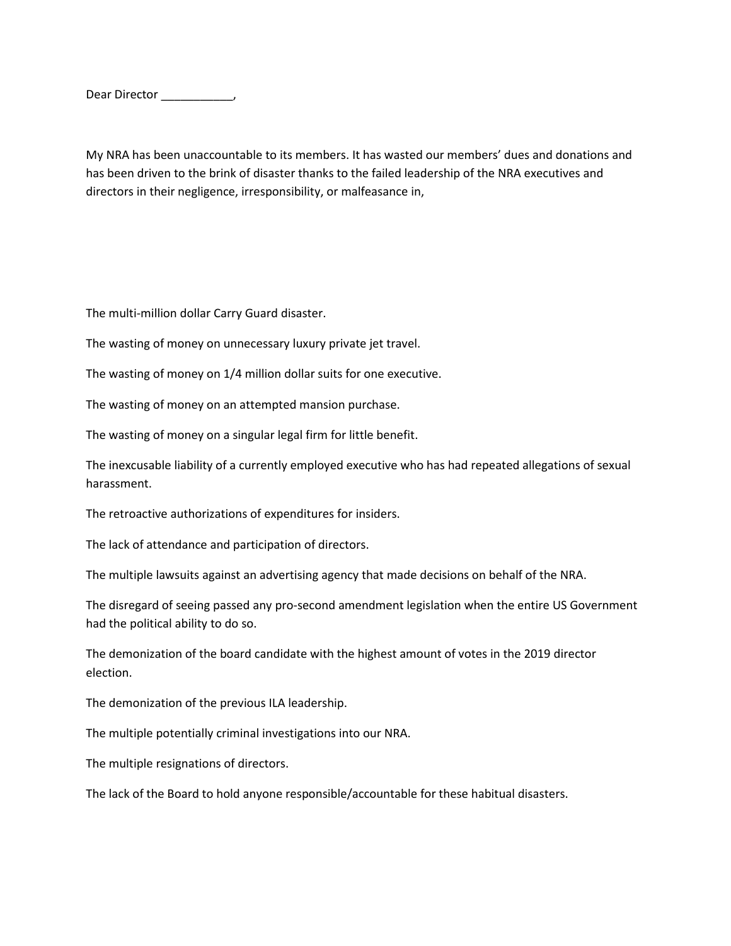Dear Director \_\_\_\_\_\_\_\_\_\_\_\_,

My NRA has been unaccountable to its members. It has wasted our members' dues and donations and has been driven to the brink of disaster thanks to the failed leadership of the NRA executives and directors in their negligence, irresponsibility, or malfeasance in,

The multi-million dollar Carry Guard disaster.

The wasting of money on unnecessary luxury private jet travel.

The wasting of money on 1/4 million dollar suits for one executive.

The wasting of money on an attempted mansion purchase.

The wasting of money on a singular legal firm for little benefit.

The inexcusable liability of a currently employed executive who has had repeated allegations of sexual harassment.

The retroactive authorizations of expenditures for insiders.

The lack of attendance and participation of directors.

The multiple lawsuits against an advertising agency that made decisions on behalf of the NRA.

The disregard of seeing passed any pro-second amendment legislation when the entire US Government had the political ability to do so.

The demonization of the board candidate with the highest amount of votes in the 2019 director election.

The demonization of the previous ILA leadership.

The multiple potentially criminal investigations into our NRA.

The multiple resignations of directors.

The lack of the Board to hold anyone responsible/accountable for these habitual disasters.